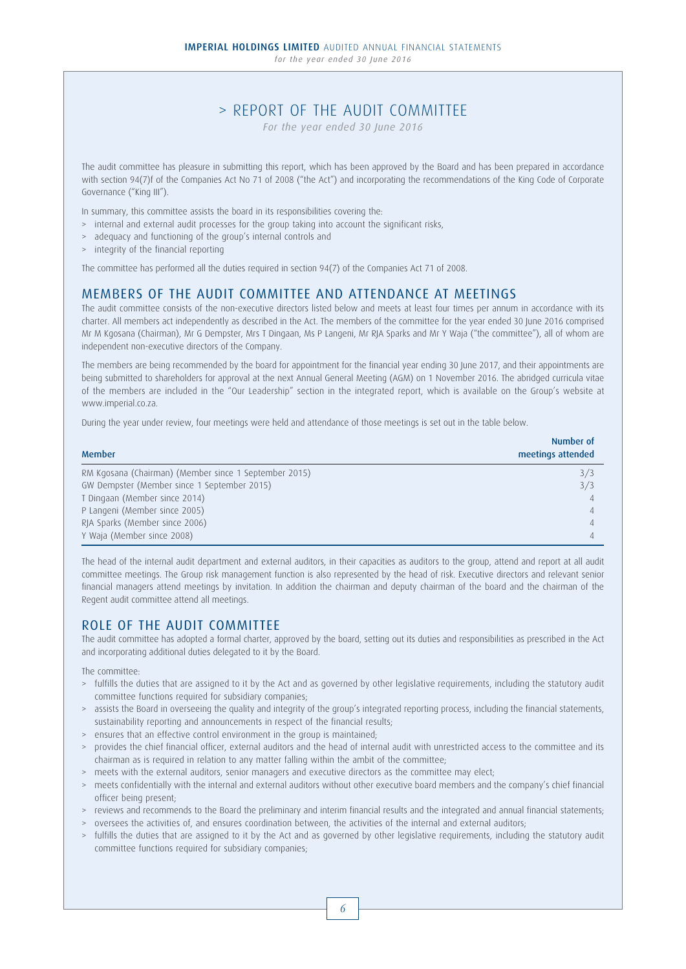*for the year ended 30 June 2016*

# > REPORT OF THE AUDIT COMMITTEE

*For the year ended 30 June 2016*

The audit committee has pleasure in submitting this report, which has been approved by the Board and has been prepared in accordance with section 94(7)f of the Companies Act No 71 of 2008 ("the Act") and incorporating the recommendations of the King Code of Corporate Governance ("King III").

In summary, this committee assists the board in its responsibilities covering the:

- > internal and external audit processes for the group taking into account the significant risks,
- > adequacy and functioning of the group's internal controls and
- > integrity of the financial reporting

The committee has performed all the duties required in section 94(7) of the Companies Act 71 of 2008.

## MEMBERS OF THE AUDIT COMMITTEE AND ATTENDANCE AT MEETINGS

The audit committee consists of the non-executive directors listed below and meets at least four times per annum in accordance with its charter. All members act independently as described in the Act. The members of the committee for the year ended 30 June 2016 comprised Mr M Kgosana (Chairman), Mr G Dempster, Mrs T Dingaan, Ms P Langeni, Mr RJA Sparks and Mr Y Waja ("the committee"), all of whom are independent non-executive directors of the Company.

The members are being recommended by the board for appointment for the financial year ending 30 June 2017, and their appointments are being submitted to shareholders for approval at the next Annual General Meeting (AGM) on 1 November 2016. The abridged curricula vitae of the members are included in the "Our Leadership" section in the integrated report, which is available on the Group's website at www.imperial.co.za.

During the year under review, four meetings were held and attendance of those meetings is set out in the table below.

| <b>Member</b>                                         | Number of<br>meetings attended |
|-------------------------------------------------------|--------------------------------|
| RM Kgosana (Chairman) (Member since 1 September 2015) | 3/3                            |
| GW Dempster (Member since 1 September 2015)           | 3/3                            |
| T Dingaan (Member since 2014)                         |                                |
| P Langeni (Member since 2005)                         |                                |
| RJA Sparks (Member since 2006)                        |                                |
| Y Waja (Member since 2008)                            |                                |

The head of the internal audit department and external auditors, in their capacities as auditors to the group, attend and report at all audit committee meetings. The Group risk management function is also represented by the head of risk. Executive directors and relevant senior financial managers attend meetings by invitation. In addition the chairman and deputy chairman of the board and the chairman of the Regent audit committee attend all meetings.

## ROLE OF THE AUDIT COMMITTEE

The audit committee has adopted a formal charter, approved by the board, setting out its duties and responsibilities as prescribed in the Act and incorporating additional duties delegated to it by the Board.

The committee:

- > fulfills the duties that are assigned to it by the Act and as governed by other legislative requirements, including the statutory audit committee functions required for subsidiary companies;
- > assists the Board in overseeing the quality and integrity of the group's integrated reporting process, including the financial statements, sustainability reporting and announcements in respect of the financial results;
- > ensures that an effective control environment in the group is maintained;
- > provides the chief financial officer, external auditors and the head of internal audit with unrestricted access to the committee and its chairman as is required in relation to any matter falling within the ambit of the committee;
- > meets with the external auditors, senior managers and executive directors as the committee may elect;
- > meets confidentially with the internal and external auditors without other executive board members and the company's chief financial officer being present;
- > reviews and recommends to the Board the preliminary and interim financial results and the integrated and annual financial statements;
- > oversees the activities of, and ensures coordination between, the activities of the internal and external auditors;
- > fulfills the duties that are assigned to it by the Act and as governed by other legislative requirements, including the statutory audit committee functions required for subsidiary companies;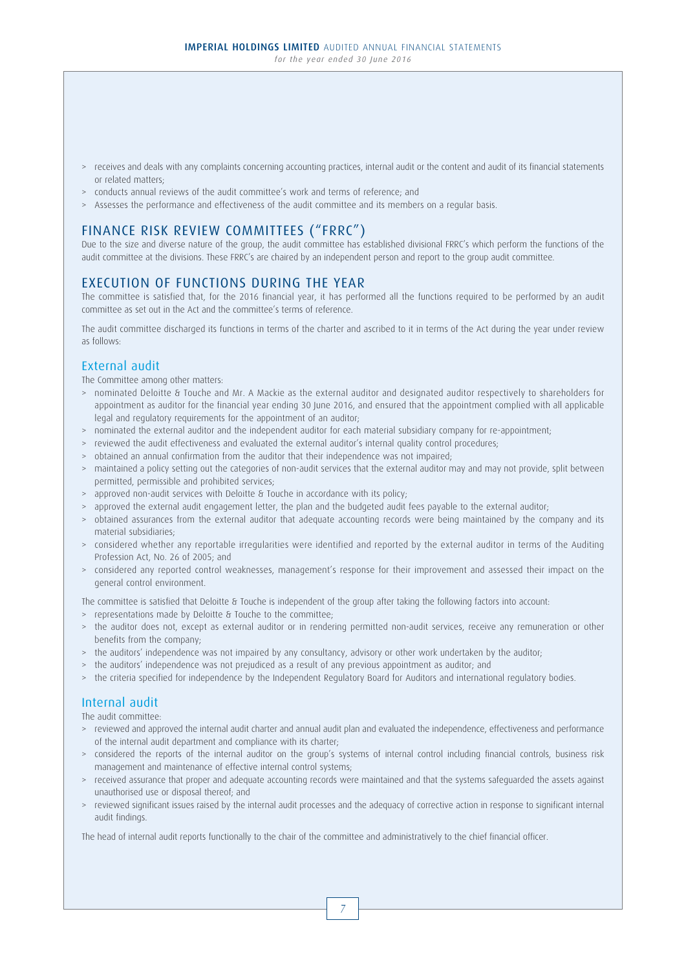- > receives and deals with any complaints concerning accounting practices, internal audit or the content and audit of its financial statements or related matters;
- > conducts annual reviews of the audit committee's work and terms of reference; and
- > Assesses the performance and effectiveness of the audit committee and its members on a regular basis.

# FINANCE RISK REVIEW COMMITTEES ("FRRC")

Due to the size and diverse nature of the group, the audit committee has established divisional FRRC's which perform the functions of the audit committee at the divisions. These FRRC's are chaired by an independent person and report to the group audit committee.

## EXECUTION OF FUNCTIONS DURING THE YEAR

The committee is satisfied that, for the 2016 financial year, it has performed all the functions required to be performed by an audit committee as set out in the Act and the committee's terms of reference.

The audit committee discharged its functions in terms of the charter and ascribed to it in terms of the Act during the year under review as follows:

## External audit

The Committee among other matters:

- > nominated Deloitte & Touche and Mr. A Mackie as the external auditor and designated auditor respectively to shareholders for appointment as auditor for the financial year ending 30 June 2016, and ensured that the appointment complied with all applicable legal and regulatory requirements for the appointment of an auditor;
- > nominated the external auditor and the independent auditor for each material subsidiary company for re-appointment;
- > reviewed the audit effectiveness and evaluated the external auditor's internal quality control procedures;
- > obtained an annual confirmation from the auditor that their independence was not impaired;
- > maintained a policy setting out the categories of non-audit services that the external auditor may and may not provide, split between permitted, permissible and prohibited services;
- > approved non-audit services with Deloitte & Touche in accordance with its policy;
- > approved the external audit engagement letter, the plan and the budgeted audit fees payable to the external auditor;
- > obtained assurances from the external auditor that adequate accounting records were being maintained by the company and its material subsidiaries;
- > considered whether any reportable irregularities were identified and reported by the external auditor in terms of the Auditing Profession Act, No. 26 of 2005; and
- > considered any reported control weaknesses, management's response for their improvement and assessed their impact on the general control environment.

The committee is satisfied that Deloitte & Touche is independent of the group after taking the following factors into account:

- > representations made by Deloitte & Touche to the committee;
- > the auditor does not, except as external auditor or in rendering permitted non-audit services, receive any remuneration or other benefits from the company;
- > the auditors' independence was not impaired by any consultancy, advisory or other work undertaken by the auditor;
- > the auditors' independence was not prejudiced as a result of any previous appointment as auditor; and
- > the criteria specified for independence by the Independent Regulatory Board for Auditors and international regulatory bodies.

## Internal audit

The audit committee:

- > reviewed and approved the internal audit charter and annual audit plan and evaluated the independence, effectiveness and performance of the internal audit department and compliance with its charter;
- > considered the reports of the internal auditor on the group's systems of internal control including financial controls, business risk management and maintenance of effective internal control systems;
- > received assurance that proper and adequate accounting records were maintained and that the systems safeguarded the assets against unauthorised use or disposal thereof; and
- > reviewed significant issues raised by the internal audit processes and the adequacy of corrective action in response to significant internal audit findings.

The head of internal audit reports functionally to the chair of the committee and administratively to the chief financial officer.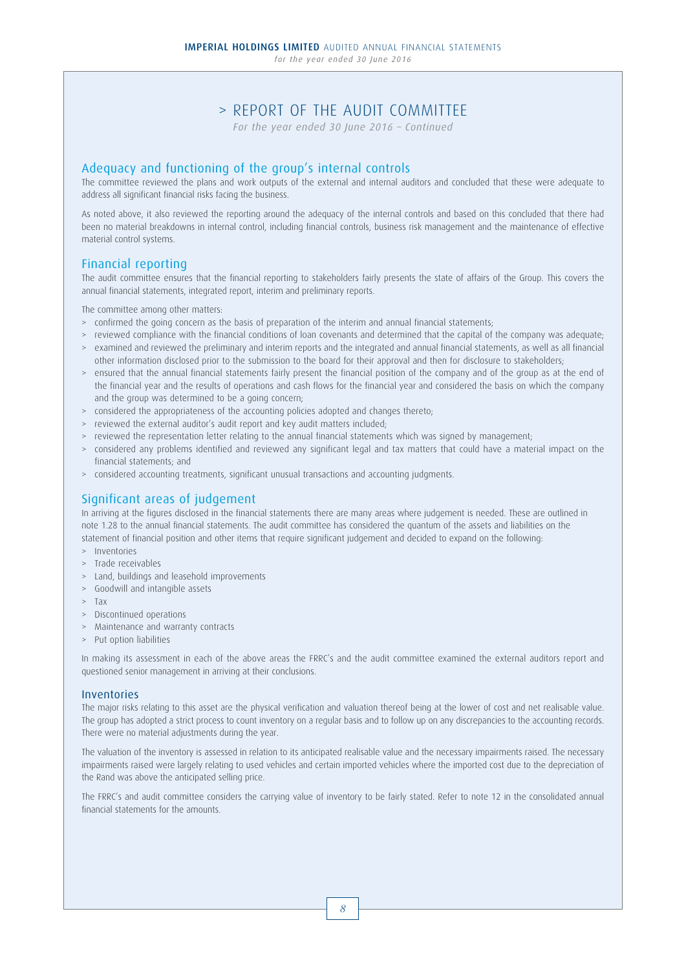# > REPORT OF THE AUDIT COMMITTEE

*For the year ended 30 June 2016 – Continued*

## Adequacy and functioning of the group's internal controls

The committee reviewed the plans and work outputs of the external and internal auditors and concluded that these were adequate to address all significant financial risks facing the business.

As noted above, it also reviewed the reporting around the adequacy of the internal controls and based on this concluded that there had been no material breakdowns in internal control, including financial controls, business risk management and the maintenance of effective material control systems.

## Financial reporting

The audit committee ensures that the financial reporting to stakeholders fairly presents the state of affairs of the Group. This covers the annual financial statements, integrated report, interim and preliminary reports.

The committee among other matters:

- > confirmed the going concern as the basis of preparation of the interim and annual financial statements;
- > reviewed compliance with the financial conditions of loan covenants and determined that the capital of the company was adequate; > examined and reviewed the preliminary and interim reports and the integrated and annual financial statements, as well as all financial
- other information disclosed prior to the submission to the board for their approval and then for disclosure to stakeholders;
- > ensured that the annual financial statements fairly present the financial position of the company and of the group as at the end of the financial year and the results of operations and cash flows for the financial year and considered the basis on which the company and the group was determined to be a going concern;
- > considered the appropriateness of the accounting policies adopted and changes thereto;
- > reviewed the external auditor's audit report and key audit matters included;
- > reviewed the representation letter relating to the annual financial statements which was signed by management;
- > considered any problems identified and reviewed any significant legal and tax matters that could have a material impact on the financial statements; and
- > considered accounting treatments, significant unusual transactions and accounting judgments.

## Significant areas of judgement

In arriving at the figures disclosed in the financial statements there are many areas where judgement is needed. These are outlined in note 1.28 to the annual financial statements. The audit committee has considered the quantum of the assets and liabilities on the statement of financial position and other items that require significant judgement and decided to expand on the following:

- > Inventories
- > Trade receivables
- > Land, buildings and leasehold improvements
- > Goodwill and intangible assets
- > Tax
- > Discontinued operations
- > Maintenance and warranty contracts
- > Put option liabilities

In making its assessment in each of the above areas the FRRC's and the audit committee examined the external auditors report and questioned senior management in arriving at their conclusions.

#### Inventories

The major risks relating to this asset are the physical verification and valuation thereof being at the lower of cost and net realisable value. The group has adopted a strict process to count inventory on a regular basis and to follow up on any discrepancies to the accounting records. There were no material adjustments during the year.

The valuation of the inventory is assessed in relation to its anticipated realisable value and the necessary impairments raised. The necessary impairments raised were largely relating to used vehicles and certain imported vehicles where the imported cost due to the depreciation of the Rand was above the anticipated selling price.

The FRRC's and audit committee considers the carrying value of inventory to be fairly stated. Refer to note 12 in the consolidated annual financial statements for the amounts.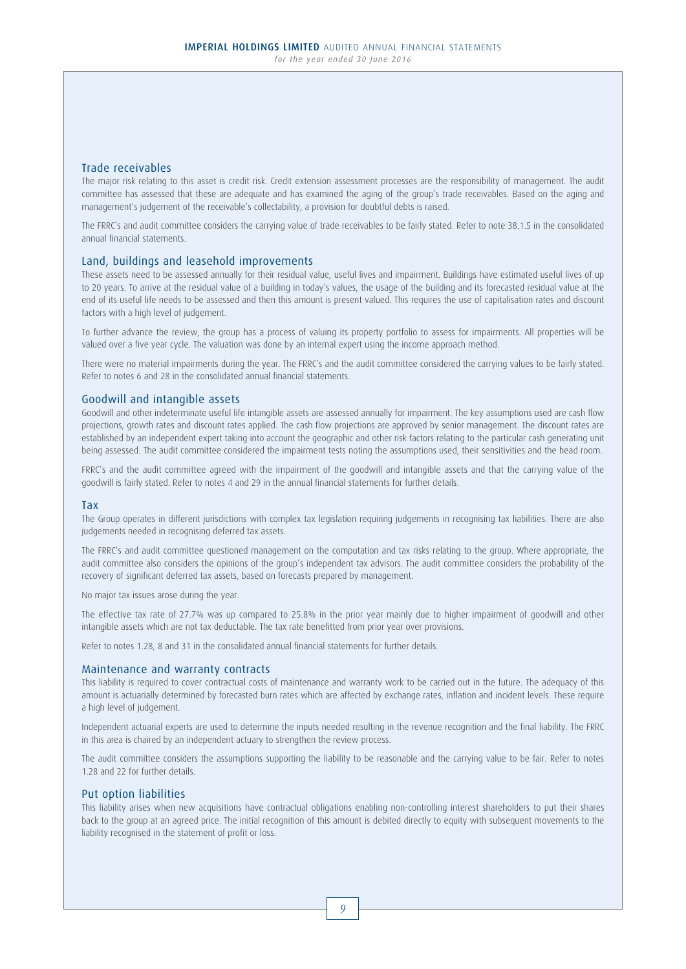### Trade receivables

The major risk relating to this asset is credit risk. Credit extension assessment processes are the responsibility of management. The audit committee has assessed that these are adequate and has examined the aging of the group's trade receivables. Based on the aging and management's judgement of the receivable's collectability, a provision for doubtful debts is raised.

The FRRC's and audit committee considers the carrying value of trade receivables to be fairly stated. Refer to note 38.1.5 in the consolidated annual financial statements.

#### Land, buildings and leasehold improvements

These assets need to be assessed annually for their residual value, useful lives and impairment. Buildings have estimated useful lives of up to 20 years. To arrive at the residual value of a building in today's values, the usage of the building and its forecasted residual value at the end of its useful life needs to be assessed and then this amount is present valued. This requires the use of capitalisation rates and discount factors with a high level of judgement.

To further advance the review, the group has a process of valuing its property portfolio to assess for impairments. All properties will be valued over a five year cycle. The valuation was done by an internal expert using the income approach method.

There were no material impairments during the year. The FRRC's and the audit committee considered the carrying values to be fairly stated. Refer to notes 6 and 28 in the consolidated annual financial statements.

#### Goodwill and intangible assets

Goodwill and other indeterminate useful life intangible assets are assessed annually for impairment. The key assumptions used are cash flow projections, growth rates and discount rates applied. The cash flow projections are approved by senior management. The discount rates are established by an independent expert taking into account the geographic and other risk factors relating to the particular cash generating unit being assessed. The audit committee considered the impairment tests noting the assumptions used, their sensitivities and the head room.

FRRC's and the audit committee agreed with the impairment of the goodwill and intangible assets and that the carrying value of the goodwill is fairly stated. Refer to notes 4 and 29 in the annual financial statements for further details.

#### Tax

The Group operates in different jurisdictions with complex tax legislation requiring judgements in recognising tax liabilities. There are also judgements needed in recognising deferred tax assets.

The FRRC's and audit committee questioned management on the computation and tax risks relating to the group. Where appropriate, the audit committee also considers the opinions of the group's independent tax advisors. The audit committee considers the probability of the recovery of significant deferred tax assets, based on forecasts prepared by management.

No major tax issues arose during the year.

The effective tax rate of 27.7% was up compared to 25.8% in the prior year mainly due to higher impairment of goodwill and other intangible assets which are not tax deductable. The tax rate benefitted from prior year over provisions.

Refer to notes 1.28, 8 and 31 in the consolidated annual financial statements for further details.

#### Maintenance and warranty contracts

This liability is required to cover contractual costs of maintenance and warranty work to be carried out in the future. The adequacy of this amount is actuarially determined by forecasted burn rates which are affected by exchange rates, inflation and incident levels. These require a high level of judgement.

Independent actuarial experts are used to determine the inputs needed resulting in the revenue recognition and the final liability. The FRRC in this area is chaired by an independent actuary to strengthen the review process.

The audit committee considers the assumptions supporting the liability to be reasonable and the carrying value to be fair. Refer to notes 1.28 and 22 for further details.

#### Put option liabilities

This liability arises when new acquisitions have contractual obligations enabling non-controlling interest shareholders to put their shares back to the group at an agreed price. The initial recognition of this amount is debited directly to equity with subsequent movements to the liability recognised in the statement of profit or loss.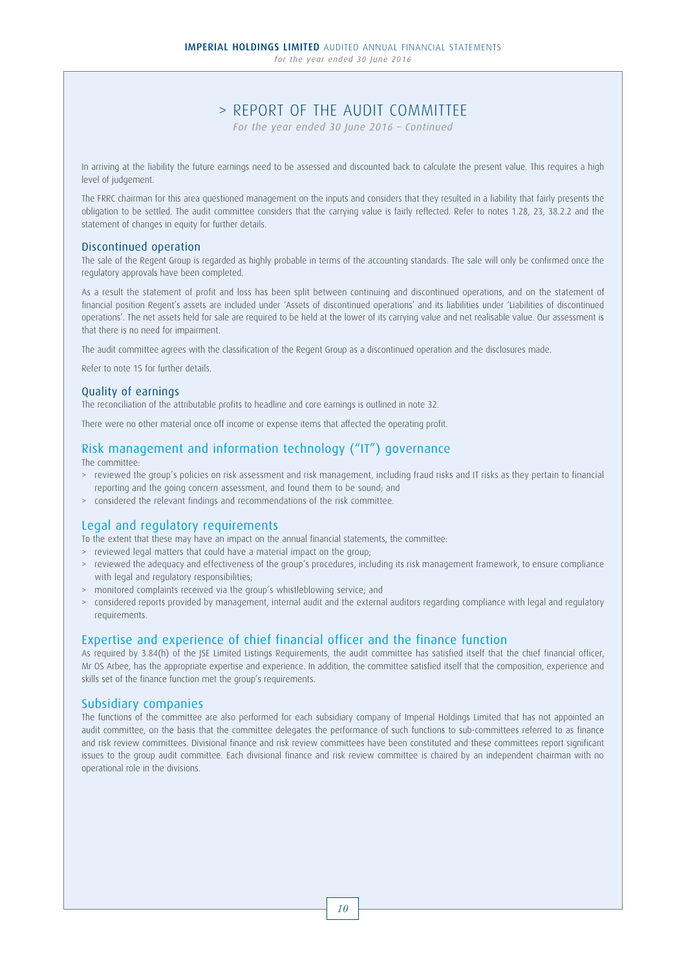# > REPORT OF THE AUDIT COMMITTEE

*For the year ended 30 June 2016 – Continued*

In arriving at the liability the future earnings need to be assessed and discounted back to calculate the present value. This requires a high level of judgement.

The FRRC chairman for this area questioned management on the inputs and considers that they resulted in a liability that fairly presents the obligation to be settled. The audit committee considers that the carrying value is fairly reflected. Refer to notes 1.28, 23, 38.2.2 and the statement of changes in equity for further details.

#### Discontinued operation

The sale of the Regent Group is regarded as highly probable in terms of the accounting standards. The sale will only be confirmed once the regulatory approvals have been completed.

As a result the statement of profit and loss has been split between continuing and discontinued operations, and on the statement of financial position Regent's assets are included under 'Assets of discontinued operations' and its liabilities under 'Liabilities of discontinued operations'. The net assets held for sale are required to be held at the lower of its carrying value and net realisable value. Our assessment is that there is no need for impairment.

The audit committee agrees with the classification of the Regent Group as a discontinued operation and the disclosures made.

Refer to note 15 for further details.

#### Quality of earnings

The reconciliation of the attributable profits to headline and core earnings is outlined in note 32.

There were no other material once off income or expense items that affected the operating profit.

# Risk management and information technology ("IT") governance

#### The committee:

- > reviewed the group's policies on risk assessment and risk management, including fraud risks and IT risks as they pertain to financial reporting and the going concern assessment, and found them to be sound; and
- > considered the relevant findings and recommendations of the risk committee.

### Legal and regulatory requirements

- To the extent that these may have an impact on the annual financial statements, the committee:
- > reviewed legal matters that could have a material impact on the group;
- > reviewed the adequacy and effectiveness of the group's procedures, including its risk management framework, to ensure compliance with legal and regulatory responsibilities;
- > monitored complaints received via the group's whistleblowing service; and
- > considered reports provided by management, internal audit and the external auditors regarding compliance with legal and regulatory requirements.

## Expertise and experience of chief financial officer and the finance function

As required by 3.84(h) of the JSE Limited Listings Requirements, the audit committee has satisfied itself that the chief financial officer, Mr OS Arbee, has the appropriate expertise and experience. In addition, the committee satisfied itself that the composition, experience and skills set of the finance function met the group's requirements.

### Subsidiary companies

The functions of the committee are also performed for each subsidiary company of Imperial Holdings Limited that has not appointed an audit committee, on the basis that the committee delegates the performance of such functions to sub-committees referred to as finance and risk review committees. Divisional finance and risk review committees have been constituted and these committees report significant issues to the group audit committee. Each divisional finance and risk review committee is chaired by an independent chairman with no operational role in the divisions.